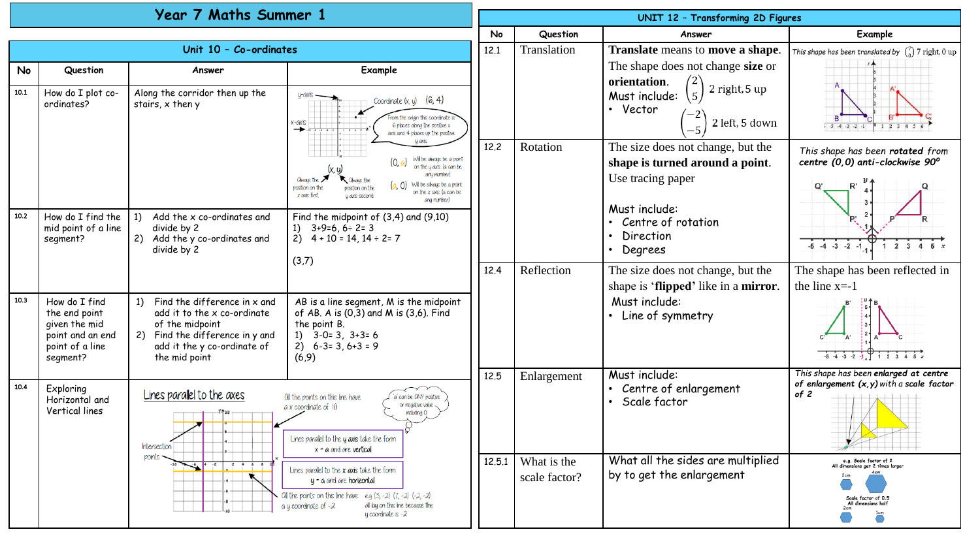| Year 7 Maths Summer 1  |                                                                                                    |                                                                                                                                                                                                                                                                                                                                                                                                                                                                                                |                                                                                                                                                                                                                                                                                                                                                                                                                                              |        | UNIT 12 - Transforming 2D Figures |                                                                           |                                                                                               |  |  |
|------------------------|----------------------------------------------------------------------------------------------------|------------------------------------------------------------------------------------------------------------------------------------------------------------------------------------------------------------------------------------------------------------------------------------------------------------------------------------------------------------------------------------------------------------------------------------------------------------------------------------------------|----------------------------------------------------------------------------------------------------------------------------------------------------------------------------------------------------------------------------------------------------------------------------------------------------------------------------------------------------------------------------------------------------------------------------------------------|--------|-----------------------------------|---------------------------------------------------------------------------|-----------------------------------------------------------------------------------------------|--|--|
|                        |                                                                                                    |                                                                                                                                                                                                                                                                                                                                                                                                                                                                                                |                                                                                                                                                                                                                                                                                                                                                                                                                                              |        | Question                          | Answer                                                                    | <b>Example</b>                                                                                |  |  |
| Unit 10 - Co-ordinates |                                                                                                    |                                                                                                                                                                                                                                                                                                                                                                                                                                                                                                |                                                                                                                                                                                                                                                                                                                                                                                                                                              |        | Translation                       | Translate means to move a shape.                                          | This shape has been translated by $\binom{7}{0}$ 7 right, 0 up                                |  |  |
| <b>No</b>              | Question                                                                                           | Answer                                                                                                                                                                                                                                                                                                                                                                                                                                                                                         | Example                                                                                                                                                                                                                                                                                                                                                                                                                                      |        |                                   | The shape does not change size or<br>orientation.<br>2 right, 5 up        |                                                                                               |  |  |
| 10.1                   | How do I plot co-<br>ordinates?                                                                    | Along the corridor then up the<br>stairs, x then y                                                                                                                                                                                                                                                                                                                                                                                                                                             | U-QXIS<br>Coordinate $(x, y)$ (6, 4)<br>rom the origin this coordinate i<br>K-QXIS<br>6 places along the positive x<br>axis and 4 places up the positive<br><b>U AKK</b><br>Will be always be a point<br>(0, a)<br>on the y axis (a can be<br>any number)<br>Oliviaus the<br>Olways the<br>(a, 0) Will be always be a point<br>rosition on the<br>position on the<br>on the x axis la can be<br>x axis first<br>y axis second<br>any number) |        |                                   | $\overline{5}$<br>Must include:<br>• Vector<br>2 left, 5 down<br>$-5$     | .5.4.3.2                                                                                      |  |  |
|                        |                                                                                                    |                                                                                                                                                                                                                                                                                                                                                                                                                                                                                                |                                                                                                                                                                                                                                                                                                                                                                                                                                              | 12.2   | Rotation                          | The size does not change, but the<br>shape is turned around a point.      | This shape has been rotated from<br>centre (0,0) anti-clockwise 90°                           |  |  |
|                        |                                                                                                    |                                                                                                                                                                                                                                                                                                                                                                                                                                                                                                |                                                                                                                                                                                                                                                                                                                                                                                                                                              |        |                                   | Use tracing paper                                                         |                                                                                               |  |  |
| 10.2                   | How do I find the<br>mid point of a line<br>segment?                                               | 1)<br>Add the x co-ordinates and<br>divide by 2<br>2) Add the y co-ordinates and<br>divide by 2                                                                                                                                                                                                                                                                                                                                                                                                | Find the midpoint of $(3,4)$ and $(9,10)$<br>1) $3+9=6, 6 \div 2=3$<br>2) $4 + 10 = 14$ , $14 \div 2 = 7$<br>(3,7)                                                                                                                                                                                                                                                                                                                           |        |                                   | Must include:<br>• Centre of rotation<br>Direction<br>Degrees             | $-5$ $-4$ $-3$ $-2$ $-1$<br>$1\ 2\ 3\ 4\ 5\ x$                                                |  |  |
|                        |                                                                                                    |                                                                                                                                                                                                                                                                                                                                                                                                                                                                                                |                                                                                                                                                                                                                                                                                                                                                                                                                                              | 12.4   | Reflection                        | The size does not change, but the<br>shape is 'flipped' like in a mirror. | The shape has been reflected in<br>the line $x = -1$                                          |  |  |
| 10.3                   | How do I find<br>the end point<br>given the mid<br>point and an end<br>point of a line<br>segment? | 1) Find the difference in $x$ and<br>add it to the x co-ordinate<br>of the midpoint<br>2) Find the difference in y and<br>add it the y co-ordinate of<br>the mid point                                                                                                                                                                                                                                                                                                                         | AB is a line segment, M is the midpoint<br>of AB. A is $(0,3)$ and M is $(3,6)$ . Find<br>the point B.<br>1) $3-0=3$ , $3+3=6$<br>$2) 6-3=3, 6+3=9$<br>(6, 9)                                                                                                                                                                                                                                                                                |        |                                   | Must include:<br>• Line of symmetry                                       | $-5$ $-4$ $-3$ $-2$ $-1$<br>$1\ 2\ 3\ 4\ 5$                                                   |  |  |
| 10.4                   | Exploring<br>Horizontal and<br>Vertical lines                                                      | Lines parallel to the axes<br>Oll the points on this line have<br>a' can be ONY positive<br>or regative value.<br>a x coordinate of 10<br>including 0<br>Lines parallel to the y axis take the form<br><b>Intersection</b><br>$x = a$ and are vertical<br>points<br>Lines parallel to the x axis take the form<br>$y - a$ and are horizontal<br>Oil the points on this line have $eg(3,-2)(7,-2)(-2,-2)$<br>a y coordinate of -2<br>all lay on this line because the<br>$y$ coordinate is $-2$ |                                                                                                                                                                                                                                                                                                                                                                                                                                              | 12.5   | Enlargement                       | Must include:<br>• Centre of enlargement<br>Scale factor                  | This shape has been enlarged at centre<br>of enlargement $(x, y)$ with a scale factor<br>of 2 |  |  |
|                        |                                                                                                    |                                                                                                                                                                                                                                                                                                                                                                                                                                                                                                |                                                                                                                                                                                                                                                                                                                                                                                                                                              | 12.5.1 | What is the<br>scale factor?      | What all the sides are multiplied<br>by to get the enlargement            | e.g. Scale factor of 2<br>All dimensions get 2 times larger<br>icale factor of 0.5            |  |  |